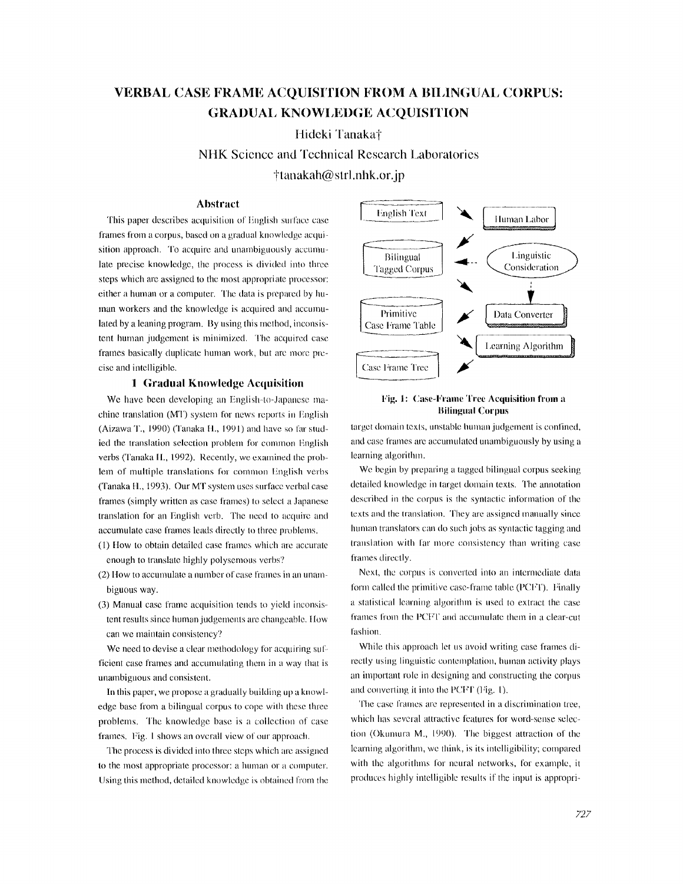# **VERBAL CASE FRAME ACQUISITION FROM A BILINGUAL CORPUS: GRADUAL KNOWI,EDGE ACQUISITION**

**Hideki Tanaka†** 

**NHK** Science and Technical Research Laboratories  $\frac{1}{\pi}$ tanakah $\omega$ strl .nhk.or.jp

# Abstract

This paper describes acquisition of English surface case frames from a corpus, based on a gradual knowledge acquisition approach. To acquire and unambiguously accumulate precise knowledge, the process is divided into three steps which are assigned to the most appropriate processor: either a human or a computer. The data is prepared by human workers and the knowledge is acquired and accumulated by a leaning program. By using this method, inconsistent hunmn judgement is minimized. The acquired case frames basically duplicate human work, but are more precise and intelligible.

## **1** Gradual Knowledge Acquisition

We have been developing an English-to-Japanese machine translation (MT) system for news reports in English (Aizawa T., 1990) (Tanaka H., 1991) and have so far studied the translation selection problem for common English verbs (Tanaka I1., 1992). Recently, we examined the problem of multiple translations for common English verbs (Tanaka H., 1993). Our MT system uses surface verbal case frames (simply written as case frames) to select a Japanese translation for an English verb. The need to acquire and accumulate case frames leads directly to three problems.

- (1) How to obtain detailed case frames which are accurate enough to translate highly polysemous verbs?
- (2) How to accumulate a number of case frames in an unambiguous way.
- (3) Manual case frame acquisition tends to yield inconsistent results since human judgements are changeable. How can we maintain consistency?

We need to devise a clear methodology for acquiring sufficient case frames and accumulating them in a way that is unambiguous and consistent.

In this paper, we propose a gradually building up a knowledge base from a bilingual corpus to cope with these three problems. The knowledge base is a collection of case frames. Fig. 1 shows an overall view of our approach.

The process is divided into three steps which arc assigned to the most appropriate processor: a human or a computer. Using this method, detailed knowledge is obtained fiom the



# **Fig. 1 :** Case-Frame Tree Acquisition from a Bilingual Corpus

target domain texts, unstable human judgement is confined, and case frames are accumulated unambiguously by using a learning algorithm.

We begin by preparing a tagged bilingual corpus seeking detailed knowledge in target domain texts. The annotation described in the corpus is the syntactic information of the texts and the translation. They are assigned manually since human translators can do such jobs as syntactic tagging and translation with far more cousistency than writing case frames directly.

Next, the corpus is converted into an intermediate data form called the primitive case-frame table (PCFT). Finally a stalistical learning algorilhm is used to extract the case frames from the PCFT and accumulate them in a clear-cut fashion.

While this approach let us avoid writing case frames directly using linguistic contemplation, human activity plays an important role in designing and constructing the corpus and converting it into the PCFT (Fig. 1).

The case frames are represented in a discrimination tree, which has several attractive features for word-sense selection (Okunura M., 1990). The biggest attraction of the learning algorithm, we think, is its intelligibility; compared with the algorithms for neural networks, for example, it produces highly intelligible results if the input is appropri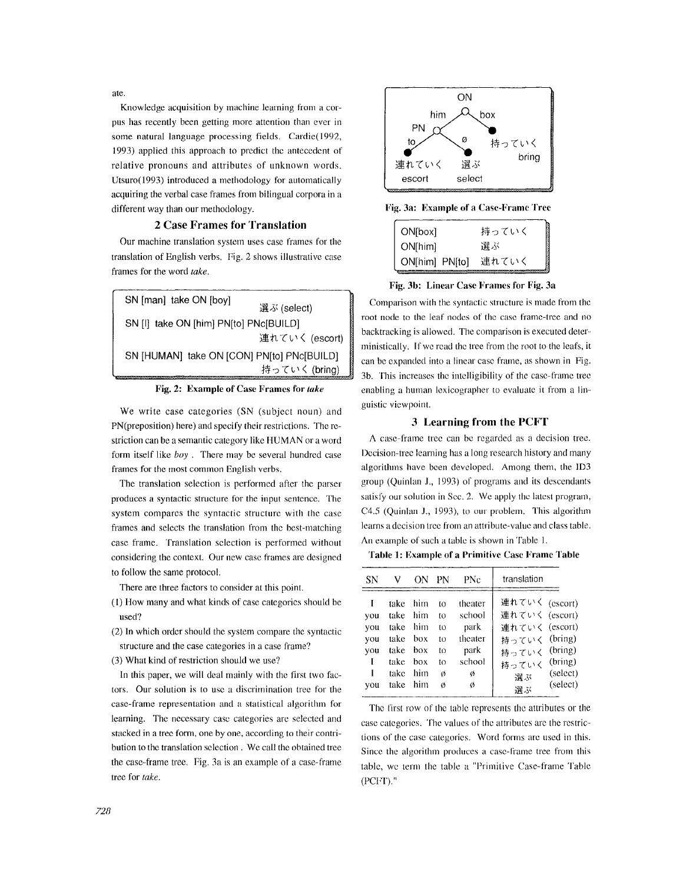ate.

Knowledge acquisition by machine learning from a corpus has recently been getting more attention than ever in some natural language processing fields. Cardie(1992, 1993) applied this approach to predict the antecedent of relative pronouns and attributes of unknown words. Utsuro(1993) introduced a methodology for automatically acquiring the verbal case frames from bilingual corpora in a different way than our methodology.

# **2 Case Frames for Translation**

Our machine translation system uses case frames for the translation of English verbs. Fig. 2 shows illustrative case frames for the word *take.* 

| SN [man] take ON [boy]                     |                |
|--------------------------------------------|----------------|
|                                            | 選ぶ (select)    |
| SN [I] take ON [him] PN[to] PNc[BUILD]     |                |
|                                            | 連れていく (escort) |
| SN [HUMAN] take ON [CON] PN[to] PNc[BUILD] |                |
|                                            | 持っていく (bring)  |

#### **Fig. 2: Example of Case Frames for** *take*

We write case categories (SN (subject noun) and PN(preposition) here) and specify their restrictions. The restriction can be a semantic category like HUMAN or a word form itself like *boy.* There may be several hundred case frames for the most common English verbs.

The translation selection is performed after the parser produces a syntactic structure for the input sentence. The system compares the syntactic structure with the case frames and selects the translation from the best-matching case frame. Translation selection is performed without considering the context. Our new case fiames are designed to follow the same protocol.

**There are** three factors to consider at this point.

- (1) How many and what kinds of case categories should be used?
- (2) In which order should the system compare the syntactic structure and the case categories in a case frame?
- (3) What kind of restriction should we use?

In this paper, we will deal mainly with the first two factors. Our solution is to use a discrimination tree for the case-frame representation and a statistical algorithm for learning. The necessary case categories are selected and stacked in a tree form, one by one, according to their contribution to the translation selection. We call the obtained tree the case-frame tree. Fig. 3a is an example of a case-frame tree for *take.* 



Fig. 3a: Example of a Case-Frame **"Free** 

| ON[box]        | 持っていく |
|----------------|-------|
| ON[him]        | 選ぶ    |
| ON[him] PN[to] | 連れていく |

# Fig. 3b: Linear Case Frames for Fig. 3a

Comparison with the syntactic structure is made from the root node to the leaf nodes of the case frame-tree and no backtracking is allowed. The comparison is executed deterministically. If we read the tree from the root to the leafs, it can be expanded into a linear ease fiame, as shown in Fig. 3b. This increases the intelligibility of the case-fiame tree enabling a human lexicographer to evaluate it from a linguistic viewpoint.

## 3 Learning from the PCFT

A case-fralne tree can be regarded as a decision tree. Decision-tree learning has a long research history and many algorithms have been developed. Among them, the ID3 group (Quinlan J., 1993) of programs and its descendants satisfy our solution in Sec. 2. We apply the latest program, C4.5 (Quinlan J., 1993), to our problem. This algorithm learns a decision tree from an attribute-value and class table. An example of such a table is shown in Table 1.

**Table 1: Example of a Primitive Case Frame Table** 

| SΝ                                             | ν                                                            | ΩN                                                   | РN                                         | PNc                                                              | translation                                                                                               |                                 |
|------------------------------------------------|--------------------------------------------------------------|------------------------------------------------------|--------------------------------------------|------------------------------------------------------------------|-----------------------------------------------------------------------------------------------------------|---------------------------------|
| I<br>you<br>you<br>you<br>you<br>L<br>I<br>vou | take<br>take<br>take<br>take<br>take<br>take<br>take<br>take | him<br>him<br>him<br>hox<br>box<br>hox<br>him<br>him | tΩ<br>to<br>to<br>to<br>to<br>to<br>Ø<br>ø | theater<br>school<br>park<br>theater<br>park<br>school<br>Ø<br>Ø | 連れていく (escort)<br>連れていく (escort)<br>連れていく (escort)<br>持っていく (bring)<br>持っていく (bring)<br>持っていく<br>選ぶ<br>選ぶ | (bring)<br>(select)<br>(select) |

The first row of the table represents the attributes or the case categories. The values of the attribntes arc the restrictions of the case categories. Word forms are used in this. Since the algorithm produces a case-frame tree from this table, we term the table a "Primitive Case-frame Table  $(PCFT)$ ."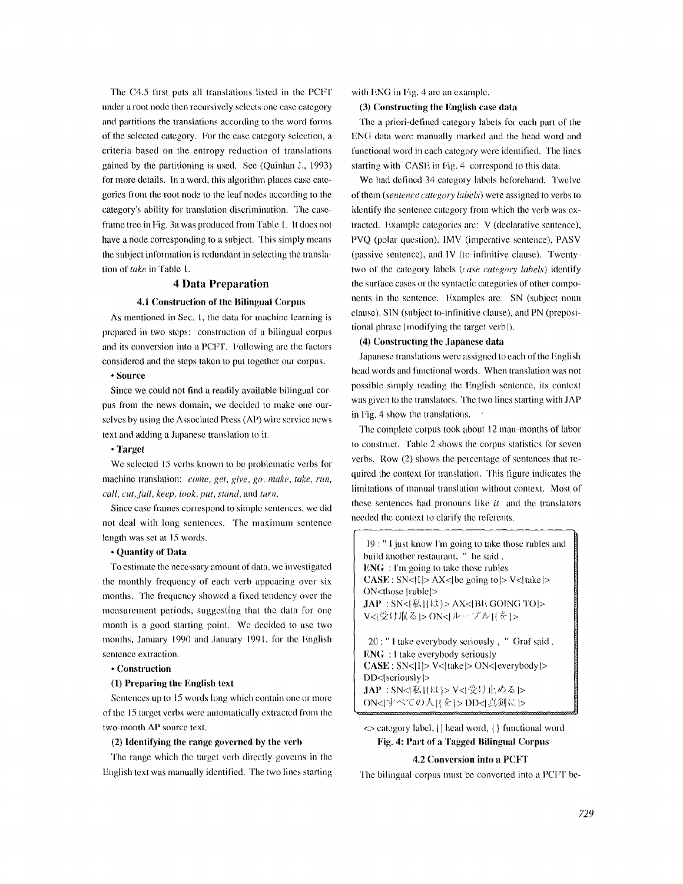The C4.5 first puts all translations listed in the PCFT under a root node then recursively selects one case category and partitions the translations according to the word forms of the selected category. For the case category selection, a criteria based on the entropy reduction of translations gained by the partitioning ix used. See (Quinlan J., 1993) for more details. In a word, this algorithm places case categories from the root node to the leaf nodes according to the category's ability for translation discrimination. The caseframe tree in Fig. 3a was produced from Table 1. It does not have a node corresponding to a subject. This simply means the subject information is redundant in selecting the translation of *take* in Table 1.

# **4 Data Preparation**

# 4.1 Construction of the Bilingual Corpus

As mentioned in Sec. 1, the data for machine learning is prepared in two steps: construction of a bilingual corpus and its conversion into a PCFT. Following are the factors considered and the steps taken to put together our corpus.

# **• Sollrce**

Since we could not find a readily available bilingual corpus from the news domain, we decided to make one ourselves by using the Associated Press (AP) wire service news text and adding a Japanese translation to it.

#### **• Target**

We selected 15 verbs known to be problematic verbs for machine translation: *come, get, give, go, make, take, run, call, cut, fall, keep, look, put, stand, and turn.* 

Since case frames correspond to simple sentences, we did not deal with long sentences. The maximum sentence length was set at 15 words.

## **• Quantity of Data**

To estimate the necessary amount of data, we investigated the monthly frequency of each verb appearing over six months. The frequency showed a fixed tendency over the measurement periods, suggesting that the data for one month ix a good starting point. We decided to use two months, January 1990 and January 1991, for the English sentence extraction.

#### **° Construction**

#### **(1) Preparing the English text**

Sentences up to 15 words long which contain one or more of the 15 target verbs were automatically extracted from the two-month AP source text.

## (2) **Identifying the range governed by the** verh

The range which the target verb directly governs in the English text was manually identified. The two lines starting

with FNG in Fig. 4 are an example.

#### **(3) Constructing the English case data**

The a priori-defined category labels for each part of the ENG data were manually marked and the head word and functional word in each category were identified. The lines starting with CASE in Fig. 4 correspond to this data.

We had defined 34 category labels beforehand. Twelve of them *(sentence category labels)* were assigned to verbs to identify the sentence category from which the verb was extracted. Example categories are: V (declarative sentence), PVQ (polar question), IMV (imperative sentence), PASV (passive sentence), and IV (to-infinitive clause). Twentytwo of the category labels *(case category labels)* identify the surface cases or the syntactic categories of other compo~ nents in the sentence. Examples are: SN (subject noun clause), SIN (subject to-infinitive clause), and PN (prepositional phrase [modifying the target verb]).

#### **(4) Constructing the Japanese data**

Japanese translations were assigned to each of the English head words and functional words. When translation was not possible simply reading the English sentence, its context was given to the translators. The two lines starting with JAP in Fig. 4 show the translations.

The complete corpus took about 12 man-months of labor to construct. Table 2 shows the corpus statistics for seven verbs. Row (2) shows the percentage of sentences thal required the context for translation. This figure indicates the limitations of manual translation without context. Most of these sentences had pronouns like *it* and the translators needed the context to clarify the referents.

19 : " I just know I'm going to take those rubles and build another restaurant, " he said. ENG : I'm going to take those rubles  $CASE : SN < I$   $> Ax <$  the going to  $> V <$  take  $>$ ()N<those [ruble]>  $JAP$ : SN< $\{K\}\$   $\{k\}$ > AX< $\{BE$  GOING TO  $\ge$ V<l受け取るトON<lループル目を1>

20 : " I take everybody seriously, " Graf said. ENG : l take everybody seriously **CASE:** SN<[I ]> V<[takel> ON<leverybody]> DD</a>|seriously</a>|>  $JAP : SN$ < $I$ 私 $H$ は $>$ V< $I$ 受け止める $|>$ ON<lすべての人目を}>DD<l真剣に}>

<> category label, [] head word, { } functional word Fig. 4: Part of a Tagged Bilingual Corpus

#### **4.2 Conversion into a** PCFT

The bilingual corpus must be converted into a PCFT be-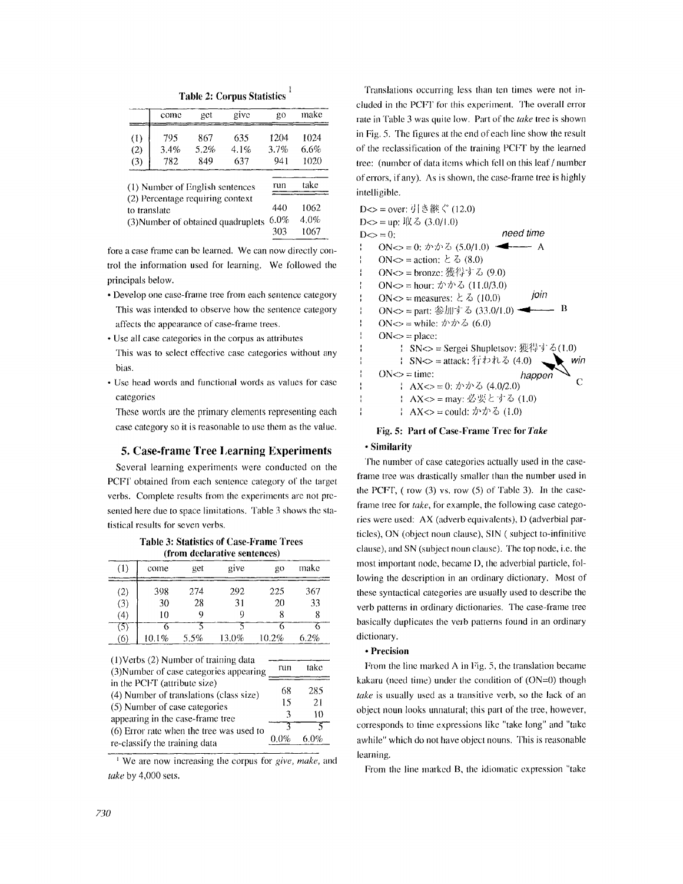Table 2: Corpus Statistics<sup>1</sup>

|     | come                                             | get  | give | go   | make |
|-----|--------------------------------------------------|------|------|------|------|
| (1) | 795                                              | 867  | 635  | 1204 | 1024 |
| (2) | 3.4%                                             | 5.2% | 4.1% | 3.7% | 6.6% |
| (3) | 782                                              | 849  | 637  | 941  | 1020 |
|     | (1) Number of English sentences                  |      |      | run  | take |
|     | (2) Percentage requiring context<br>to translate |      |      | 440  | 1062 |
|     |                                                  |      |      |      |      |

fore a case fiame can be learned. We can now directly control the information used for learning. We followed the principals below.

- Develop one case-frame tree from each sentence category This was intended to observe how the sentence category affects the appearance of case-frame trees.
- Use all case categories in the corpus as attributes This was to select effective case categories without any bias.
- Use head words and functional words as values for case categories

These words are the primary elements representing each case category so it is reasonable to use them as the value.

# **5. Case-frame Tree Learning Experiments**

Several learning experiments were conducted on the PCFT obtained from each sentence category of the target verbs. Complete results fiom the experiments are not presented here due to space limitations. Table 3 shows the statistical results for seven verbs.

|  |  |  | Table 3: Statistics of Case-Frame Trees |  |
|--|--|--|-----------------------------------------|--|
|  |  |  | (from declarative sentences)            |  |

| (1) | come  | get  | give  | gо    | make |
|-----|-------|------|-------|-------|------|
| (2) | 398   | 2.74 | 292   | 225   | 367  |
| (3) | 30    | 28   | 31    | 20    | 33   |
| (4) | 10    | o    | C     |       |      |
| (5) |       |      |       |       |      |
| (6) | 10.1% | 5.5% | 13.0% | 10.2% | 6.2% |

| $(1)$ Verbs $(2)$ Number of training data<br>(3) Number of case categories appearing |         | take     |
|--------------------------------------------------------------------------------------|---------|----------|
| in the PCFT (attribute size)<br>(4) Number of translations (class size)              | 68      | 285      |
| (5) Number of case categories<br>appearing in the case-frame tree                    | 15<br>3 | 21<br>10 |
| (6) Error rate when the tree was used to<br>re-classify the training data            | $0.0\%$ | 6.0%     |

We are now increasing the corpus for *give, make,* and *take* by 4,000 sets.

Translations occurring less than ten times were not included in the PCFT for this experiment. The overall error rate in Table 3 was quite low. Part of the *take* tree is shown in Fig. 5. The figures at the end of each line show the result of the reclassification of the training PCFT by the learned tree: (number of data items which fell on this leaf/number of errors, if any). As is shown, the case-frame tree is highly intelligible.

|                  | D<> = over: 引き継ぐ (12.0)                           |
|------------------|---------------------------------------------------|
|                  | D<> = up: 収る (3.0/1.0)                            |
|                  | need time                                         |
| $D \infty = 0$ : |                                                   |
|                  | ON<> = 0; かかる (5.0/1.0) $\blacktriangleleft$<br>A |
|                  | ON $\leq$ = action: $\geq \leq$ (8.0)             |
|                  | ON<> = bronze: 獲得する (9.0)                         |
| ľ                | ON<> = hour: かかる (11,0/3,0)                       |
| í                | join<br>ON $\leq$ = measures: $\geq \leq$ (10.0)  |
| I                | R<br>ON<> = part: 参加する (33.0/1.0)                 |
| ٠<br>f,          | ON<> = while: かかる (6.0)                           |
|                  | $ON \Leftrightarrow$ = place:                     |
|                  | SN<> = Sergei Shupletsov: 獲得する(1.0)               |
| f.               | - SN<> = attack: 行われる (4.0)<br>win                |
|                  | $ON \in \mathbb{R}$ = time:<br>happen             |
|                  | AX<> = 0. かかる (4.0/2.0)                           |
|                  | ↓ AX<> = may: 必要とする (1.0)                         |
|                  | - AX<> = could: かかる (1.0)                         |

# Fig. 5: Part of **Case-Frame Tree for** *Take*

### **• Similarity**

The number of case categories actually used in the easeframe tree was drastically smaller than the number used in the PCFF, ( row (3) vs. row (5) of Table 3). In the caseframe tree for *take*, for example, the following case categories were used: AX (adverb equivalents), D (adverbial particles), ON (object noun clause), SIN ( subject to-infinitive clause), and SN (subject noun clause). The top node, i.e. the most important node, became D, the adverbial particle, following the description in an ordinary dictionary. Most of these syntactical categories are usually used to describe the verb patterns in ordinary dictionaries. The case-frame tree basically duplicates the verb patterns found in an ordinary dictionary.

#### **• Precision**

From the line marked A in Fig. 5. the translation became kakaru (need time) under the condition of  $(ON=0)$  though *lake* is usually used as a transitive verb, so the lack of an object noun looks nnnatural; this part of the tree, however, corresponds to time expressions like "take long" and "take awhile" which do not have object nouns. This is reasonable learning.

From the line marked B, the idiomatic expression "take